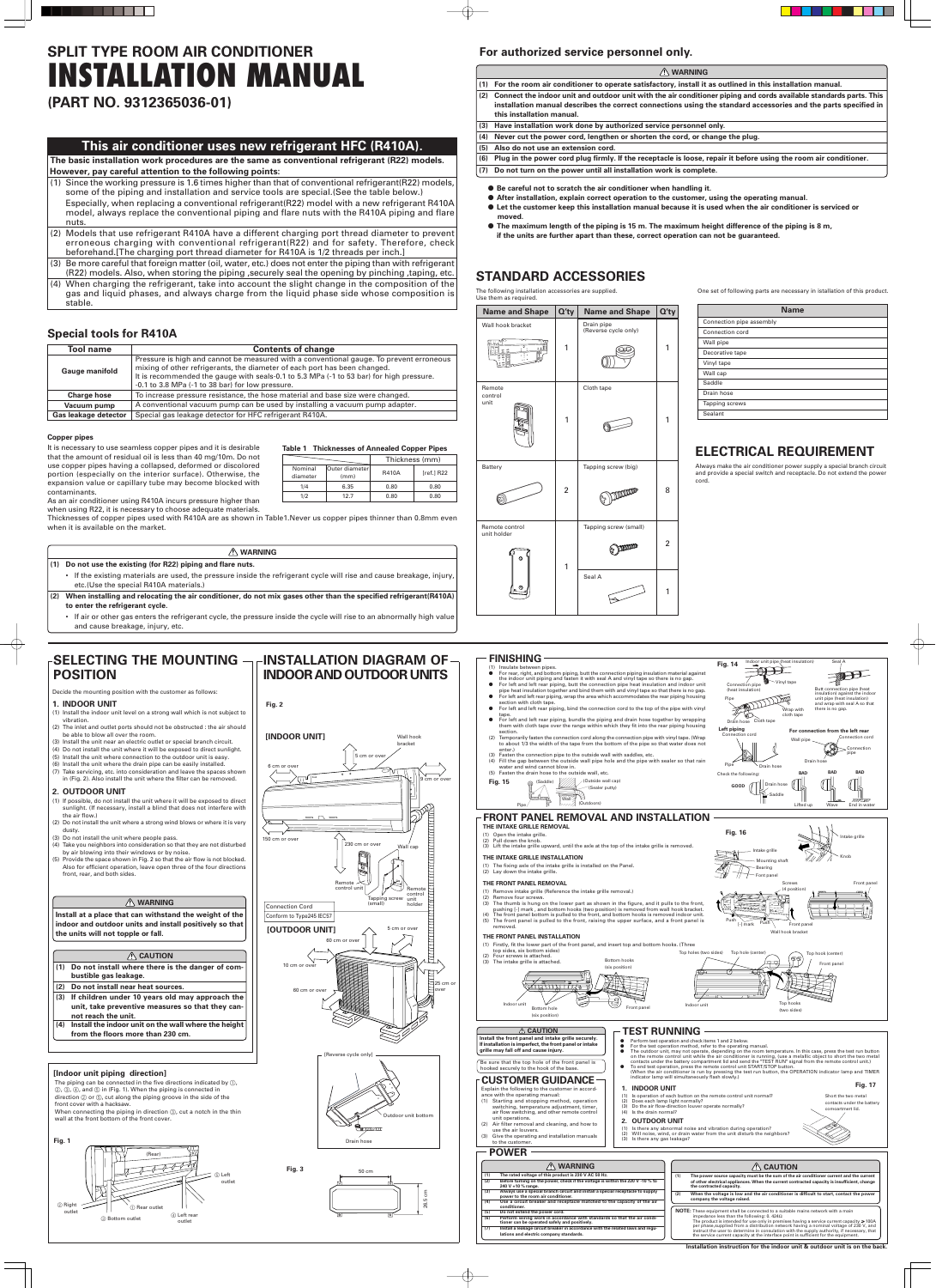## **For authorized service personnel only.**

- **(1) For the room air conditioner to operate satisfactory, install it as outlined in this installation manual.**
- **(2) Connect the indoor unit and outdoor unit with the air conditioner piping and cords available standards parts. This installation manual describes the correct connections using the standard accessories and the parts specified in this installation manual.**
- **(3) Have installation work done by authorized service personnel only.**
- **(4) Never cut the power cord, lengthen or shorten the cord, or change the plug.**
- **(5) Also do not use an extension cord.**
- **(6) Plug in the power cord plug firmly. If the receptacle is loose, repair it before using the room air conditioner.**
- **(7) Do not turn on the power until all installation work is complete.**
	- **Be careful not to scratch the air conditioner when handling it.**
	- After installation, explain correct operation to the customer, using the operating manual.
	- **Let the customer keep this installation manual because it is used when the air conditioner is serviced or moved.**
	- **The maximum length of the piping is 15 m. The maximum height difference of the piping is 8 m, if the units are further apart than these, correct operation can not be guaranteed.**

## **WARNING**

## **STANDARD ACCESSORIES**

**Name and Shape**  $\left| Q'_{\text{t}} \right|$  **Name and Shape**  $\left| Q'_{\text{t}} \right|$ 

The following installation accessories are supplied. Use them as required.

| <b>Name</b>              |  |  |  |
|--------------------------|--|--|--|
| Connection pipe assembly |  |  |  |
| Connection cord          |  |  |  |
| Wall pipe                |  |  |  |
| Decorative tape          |  |  |  |
| Vinyl tape               |  |  |  |
| Wall cap                 |  |  |  |
| Saddle                   |  |  |  |
| Drain hose               |  |  |  |
| Tapping screws           |  |  |  |
| Sealant                  |  |  |  |

One set of following parts are necessary in istallation of this product.

## **ELECTRICAL REQUIREMENT**

Always make the air conditioner power supply a special branch circuit and provide a special switch and receptacle. Do not extend the power cord.

Wall hook bracket Drain pipe (Reverse cycle only) 1 1 Remote Cloth tape control unit 1 1 Battery **Tapping screw** (big)  $2 \Big| 6$  by  $\Big| 8$ Remote control Tapping screw (small) unit holder 2  $\epsilon$  man 1 Seal A 1

### Decide the mounting position with the customer as follows:

## **1. INDOOR UNIT**

**WARNING (1) The rated voltage of this product is 230 V AC 50 Hz. (2) Before turning on the power, check if the voltage is within the 220 V -10 % to 240 V +10 % range. (3) Always use a special branch circuit and install a special receptacle to supply power to the room air conditioner. (4) Use a circuit breaker and receptacle matched to the capacity of the air conditioner. (5) Do not extend the power cord. (6) Perform wiring work in accordance with standards so that the air conditioner can be operated safely and positively. Install a leakage circuit breaker in accord lations and electric company standards. CAUTION (1) The power source capacity must be the sum of the air conditioner current and the current of other electrical appliances. When the current contracted capacity is insufficient, change the contracted capacity. (2) When the voltage is low and the air conditioner is difficult to start, contact the power company the voltage raised. NOTE:** These equipment shall be connected to a suitable mains network with a main impedance less than the following: 0. 424Ω The product is intended for use only in premises having a service current capacity  $\geqslant 100$ A<br>per phase,supplied from a distribution network having a nominal voltage of 230 V, and<br>instruct the user to determine in consu

Perform test operation and check items 1 and 2 below For the test operation method, refer to the operating manual.

- (1) Install the indoor unit level on a strong wall which is not subject to vibration.
- (2) The inlet and outlet ports should not be obstructed : the air should be able to blow all over the room.
- (3) Install the unit near an electric outlet or special branch circuit.
- (4) Do not install the unit where it will be exposed to direct sunlight.
- (5) Install the unit where connection to the outdoor unit is easy.
- (6) Install the unit where the drain pipe can be easily installed.
- (7) Take servicing, etc. into consideration and leave the spaces shown in (Fig. 2). Also install the unit where the filter can be removed.

## **2. OUTDOOR UNIT**

- (1) If possible, do not install the unit where it will be exposed to direct sunlight. (If necessary, install a blind that does not interfere with the air flow.)
- (2) Do not install the unit where a strong wind blows or where it is very dusty.
- (3) Do not install the unit where people pass.
- (4) Take you neighbors into consideration so that they are not disturbed by air blowing into their windows or by noise.
- (5) Provide the space shown in Fig. 2 so that the air flow is not blocked. Also for efficient operation, leave open three of the four directions front, rear, and both sides.

## **WARNING**

**Install at a place that can withstand the weight of the indoor and outdoor units and install positively so that the units will not topple or fall.**

### A CAUTION

- **(1) Do not install where there is the danger of combustible gas leakage.**
- **(2) Do not install near heat sources.**
- **(3) If children under 10 years old may approach the unit, take preventive measures so that they cannot reach the unit.**
- **(4) Install the indoor unit on the wall where the height from the floors more than 230 cm.**
- left and left rear piping, butt the connection pipe heat insulation and indoc pipe heat insulation together and bind them with and vinyl tape so that there is no gap. For left and left rear piping, wrap the area which accommodates the rear piping housing section with cloth tape.
- $\bullet$  For left and left rear piping, bind the connection cord to the top of the pipe with vinyl tape.
- For left and left rear piping, bundle the piping and drain hose together by wrapping them with cloth tape over the range within which they fit into the rear piping housing section.
- (2) Temporarily fasten the connection cord along the connection pipe with vinyl tape. (Wrap to about 1/3 the width of the tape from the bottom of the pipe so that water does not enter.)
- Fasten the connection pipe to the outside wall with saddles, etc. (4) Fill the gap between the outside wall pipe hole and the pipe with sealer so that rain
- water and wind cannot blow in. (5) Fasten the drain hose to the outside wall, etc.

### **[Indoor unit piping direction]**

The piping can be connected in the five directions indicated by  $(1)$ ,  $(2, 3, 4)$ , and  $(5)$  in (Fig. 1). When the piping is connected in direction  $@$  or  $@$ , cut along the piping groove in the side of the front cover with a hacksaw. When connecting the piping in direction 3, cut a notch in the thin

- For rear, right, and bottom piping, butt the connection piping insulation material against the indoor unit piping and fasten it with seal A and vinyl tape so there is no gap.
- 
- Connection pipe Vinyl tape

wall at the front bottom of the front cover.







**INDOOR AND OUTDOOR UNITS**

**POSITION**

The outdoor unit, may not operate, depending on the room temperature. In this case, press the test run button on the remote control unit while the air conditioner is running, (use a melallic object to short the two metal<br>c ● To end test operation, press the remote control unit START/STOP button (When the air conditioner is run by pressing the test run button, the OPERATION indicator lamp and TIMER indicator lamp will simultaneously flash slowly.)

(1) Is there any abnormal noise and vibration during operation?<br>(2) Will noise, wind, or drain water from the unit disturb the neighbors (2) Will noise, wind, or drain water from the unit disturb the neighbors? (3) Is there any gas leakage?

## **FINISHING**

## (1) Insulate between pipes.



**Fig. 14**

**Left piping** Connection cord

**For connection from the left rear**

Connection pipe

Check the following: **GOOD**

Pipe **Drain hose** 

**BAD BAD BAD**

Drain hose

Indoor unit pipe (heat insulation)

Wall pip

Seal A

Butt connection pipe (heat insulation) against the indoo unit pipe (heat insulation) and wrap with seal A so that there is no gap.

Pipe

(heat insulat

Drain hose Cloth tape



Wrap with cloth tape

Drain h

### **FRONT PANEL REMOVAL AND INSTALLATION THE INTAKE GRILLE REMOVAL**

- (1) Open the intake grille.
- (2) Pull down the knob.
	- (3) Lift the intake grille upward, until the axle at the top of the intake grille is removed.

### **THE INTAKE GRILLE INSTALLATION**

- (1) The fixing axle of the intake grille is installed on the Panel.
- (2) Lay down the intake grille.

### **THE FRONT PANEL REMOVAL**

- (1) Remove intake grille (Reference the intake grille removal.)
- (2) Remove four screws.
- (3) The thumb is hung on the lower part as shown in the figure, and it pulls to the front,
- pushing [-] mark , and bottom hooks (two position) is removed from wall hook bracket. (4) The front panel bottom is pulled to the front, and bottom hooks is removed indoor unit.
- (5) The front panel is pulled to the front, raising the upper surface, and a front panel is
- removed.

### **THE FRONT PANEL INSTALLATION**

- (1) Firstly, fit the lower part of the front panel, and insert top and bottom hooks. (Three
- top sides, six bottom sides)

## **TEST RUNNING**

Lifted up Wave End in wate Knob Intake grille Intake grille Mounting shaft Bearing Font panel **Fig. 16** Screws Front panel

- Saddl

**1. INDOOR UNIT**

(1) Is operation of each button on the remote control unit normal? (2) Does each lamp light normally?

(3) Do the air flow-direction louver operate normally?



## *A* CAUTION

(4) Is the drain normal? **2. OUTDOOR UNIT**

hooked securely to the hook of the base.

Explain the following to the customer in accord-

- ance with the operating manual: (1) Starting and stopping method, operation switching, temperature adjustment, timer, air flow switching, and other remote control unit operations.
- use the air louvers.
- to the customer.

(2) Air filter removal and cleaning, and how to

(3) Give the operating and installation manuals

## **CUSTOMER GUIDANCE**

### **Install the front panel and intake grille securely. If installation is imperfect, the front panel or intake**

Be sure that the top hole of the front panel is

**grille may fall off and cause injury.**



Short the two metal contacts under the battery **Fig. 17**

comoartmert lid.









### **POWER**





**The basic installation work procedures are the same as conventional refrigerant (R22) models. However, pay careful attention to the following points:**

- (1) Since the working pressure is 1.6 times higher than that of conventional refrigerant(R22) models, some of the piping and installation and service tools are special.(See the table below.) Especially, when replacing a conventional refrigerant(R22) model with a new refrigerant R410A model, always replace the conventional piping and flare nuts with the R410A piping and flare nuts.
- (2) Models that use refrigerant R410A have a different charging port thread diameter to prevent erroneous charging with conventional refrigerant(R22) and for safety. Therefore, check beforehand.[The charging port thread diameter for R410A is 1/2 threads per inch.]
- (3) Be more careful that foreign matter (oil, water, etc.) does not enter the piping than with refrigerant (R22) models. Also, when storing the piping ,securely seal the opening by pinching ,taping, etc.
- (4) When charging the refrigerant, take into account the slight change in the composition of the gas and liquid phases, and always charge from the liquid phase side whose composition is stable.

## **Special tools for R410A**

## **Copper pipes**

It is necessary to use seamless copper pipes and it is desirable that the amount of residual oil is less than 40 mg/10m. Do not use copper pipes having a collapsed, deformed or discolored portion (especially on the interior surface). Otherwise, the expansion value or capillary tube may become blocked with contaminants.

As an air conditioner using R410A incurs pressure higher than when using R22, it is necessary to choose adequate materials.

Thicknesses of copper pipes used with R410A are as shown in Table1.Never us copper pipes thinner than 0.8mm even when it is available on the market.

## **Table 1 Thicknesses of Annealed Copper Pipes**

|                     |                         | Thickness (mm) |              |
|---------------------|-------------------------|----------------|--------------|
| Nominal<br>diameter | Outer diameter <br>(mm) | <b>R410A</b>   | $[ref.]$ R22 |
| 1/4                 | 6.35                    | 0.80           | 0.80         |
| 1/2                 | 12.7                    | 0.80           | 0.80         |

| <b>Tool name</b>            | <b>Contents of change</b>                                                                                                                                                                                                                                                                                           |
|-----------------------------|---------------------------------------------------------------------------------------------------------------------------------------------------------------------------------------------------------------------------------------------------------------------------------------------------------------------|
| <b>Gauge manifold</b>       | Pressure is high and cannot be measured with a conventional gauge. To prevent erroneous<br>mixing of other refrigerants, the diameter of each port has been changed.<br>It is recommended the gauge with seals-0.1 to 5.3 MPa (-1 to 53 bar) for high pressure.<br>-0.1 to 3.8 MPa (-1 to 38 bar) for low pressure. |
| <b>Charge hose</b>          | To increase pressure resistance, the hose material and base size were changed.                                                                                                                                                                                                                                      |
| Vacuum pump                 | A conventional vacuum pump can be used by installing a vacuum pump adapter.                                                                                                                                                                                                                                         |
| <b>Gas leakage detector</b> | Special gas leakage detector for HFC refrigerant R410A.                                                                                                                                                                                                                                                             |

- If the existing materials are used, the pressure inside the refrigerant cycle will rise and cause breakage, injury, etc.(Use the special R410A materials.)
- **(2) When installing and relocating the air conditioner, do not mix gases other than the specified refrigerant(R410A) to enter the refrigerant cycle.**

SELECTING THE MOUNTING  $\neg\,\ulcorner$ INSTALLATION DIAGRAM OF

| <b>A</b> WARNING                                                                                                  |
|-------------------------------------------------------------------------------------------------------------------|
| (1) Do not use the existing (for R22) piping and flare nuts.                                                      |
| . If the evicting materials are used the pressure inside the refrigerant such will rise and cause breakage injury |

• If air or other gas enters the refrigerant cycle, the pressure inside the cycle will rise to an abnormally high value and cause breakage, injury, etc.

# **SPLIT TYPE ROOM AIR CONDITIONER INSTALLATION MANUAL**

**(PART NO. 9312365036-01)**

## This air conditioner uses new refrigerant HFC (R410A).